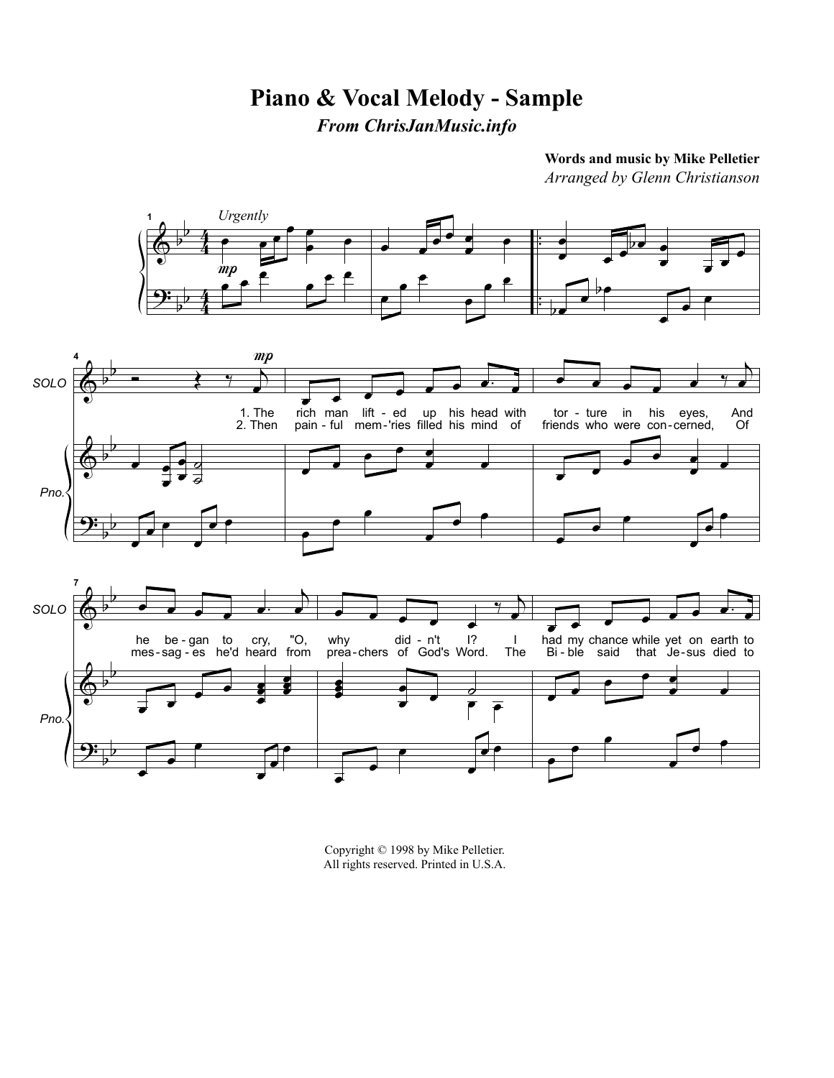**Piano & Vocal Melody - Sample** *From ChrisJanMusic.info*

**Words and music by Mike Pelletier** *Arranged by Glenn Christianson*



Copyright © 1998 by Mike Pelletier. All rights reserved. Printed in U.S.A.